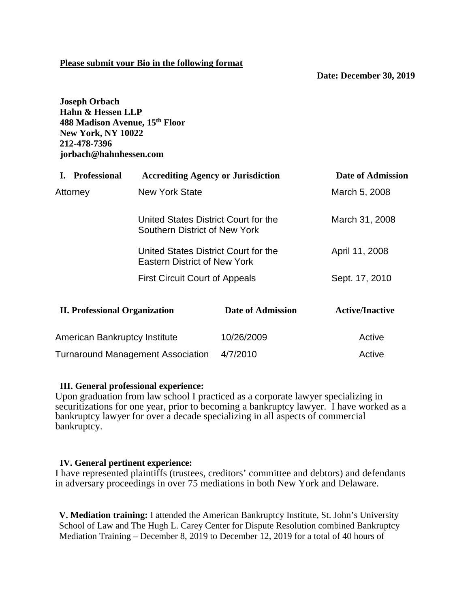## **Please submit your Bio in the following format**

**Date: December 30, 2019**

**Joseph Orbach Hahn & Hessen LLP 488 Madison Avenue, 15th Floor New York, NY 10022 212-478-7396 jorbach@hahnhessen.com**

| I. Professional                          | <b>Accrediting Agency or Jurisdiction</b>                             |                          | <b>Date of Admission</b> |
|------------------------------------------|-----------------------------------------------------------------------|--------------------------|--------------------------|
| Attorney                                 | <b>New York State</b>                                                 |                          | March 5, 2008            |
|                                          | United States District Court for the<br>Southern District of New York |                          | March 31, 2008           |
|                                          | United States District Court for the<br>Eastern District of New York  |                          | April 11, 2008           |
| <b>First Circuit Court of Appeals</b>    |                                                                       | Sept. 17, 2010           |                          |
| <b>II. Professional Organization</b>     |                                                                       | <b>Date of Admission</b> | <b>Active/Inactive</b>   |
| <b>American Bankruptcy Institute</b>     |                                                                       | 10/26/2009               | Active                   |
| <b>Turnaround Management Association</b> |                                                                       | 4/7/2010                 | Active                   |

### **III. General professional experience:**

Upon graduation from law school I practiced as a corporate lawyer specializing in securitizations for one year, prior to becoming a bankruptcy lawyer. I have worked as a bankruptcy lawyer for over a decade specializing in all aspects of commercial bankruptcy.

### **IV. General pertinent experience:**

I have represented plaintiffs (trustees, creditors' committee and debtors) and defendants in adversary proceedings in over 75 mediations in both New York and Delaware.

**V. Mediation training:** I attended the American Bankruptcy Institute, St. John's University School of Law and The Hugh L. Carey Center for Dispute Resolution combined Bankruptcy Mediation Training – December 8, 2019 to December 12, 2019 for a total of 40 hours of